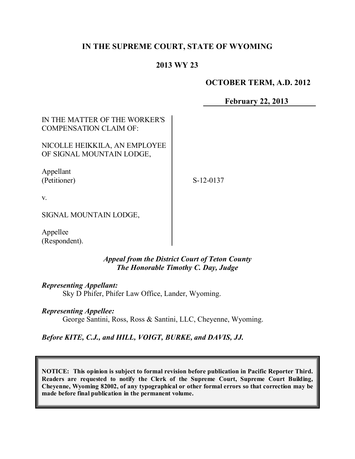# **IN THE SUPREME COURT, STATE OF WYOMING**

## **2013 WY 23**

#### **OCTOBER TERM, A.D. 2012**

**February 22, 2013**

| IN THE MATTER OF THE WORKER'S |  |
|-------------------------------|--|
| <b>COMPENSATION CLAIM OF:</b> |  |

NICOLLE HEIKKILA, AN EMPLOYEE OF SIGNAL MOUNTAIN LODGE,

Appellant (Petitioner)

S-12-0137

v.

SIGNAL MOUNTAIN LODGE,

Appellee (Respondent).

> *Appeal from the District Court of Teton County The Honorable Timothy C. Day, Judge*

*Representing Appellant:* Sky D Phifer, Phifer Law Office, Lander, Wyoming.

*Representing Appellee:*

George Santini, Ross, Ross & Santini, LLC, Cheyenne, Wyoming.

*Before KITE, C.J., and HILL, VOIGT, BURKE, and DAVIS, JJ.*

**NOTICE: This opinion is subject to formal revision before publication in Pacific Reporter Third. Readers are requested to notify the Clerk of the Supreme Court, Supreme Court Building, Cheyenne, Wyoming 82002, of any typographical or other formal errors so that correction may be made before final publication in the permanent volume.**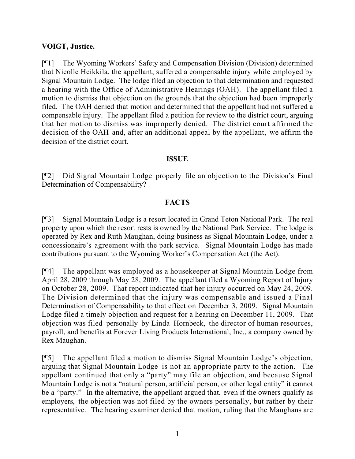### **VOIGT, Justice.**

[¶1] The Wyoming Workers' Safety and Compensation Division (Division) determined that Nicolle Heikkila, the appellant, suffered a compensable injury while employed by Signal Mountain Lodge. The lodge filed an objection to that determination and requested a hearing with the Office of Administrative Hearings (OAH). The appellant filed a motion to dismiss that objection on the grounds that the objection had been improperly filed. The OAH denied that motion and determined that the appellant had not suffered a compensable injury. The appellant filed a petition for review to the district court, arguing that her motion to dismiss was improperly denied. The district court affirmed the decision of the OAH and, after an additional appeal by the appellant, we affirm the decision of the district court.

### **ISSUE**

[¶2] Did Signal Mountain Lodge properly file an objection to the Division's Final Determination of Compensability?

## **FACTS**

[¶3] Signal Mountain Lodge is a resort located in Grand Teton National Park. The real property upon which the resort rests is owned by the National Park Service. The lodge is operated by Rex and Ruth Maughan, doing business as Signal Mountain Lodge, under a concessionaire's agreement with the park service. Signal Mountain Lodge has made contributions pursuant to the Wyoming Worker's Compensation Act (the Act).

[¶4] The appellant was employed as a housekeeper at Signal Mountain Lodge from April 28, 2009 through May 28, 2009. The appellant filed a Wyoming Report of Injury on October 28, 2009. That report indicated that her injury occurred on May 24, 2009. The Division determined that the injury was compensable and issued a Final Determination of Compensability to that effect on December 3, 2009. Signal Mountain Lodge filed a timely objection and request for a hearing on December 11, 2009. That objection was filed personally by Linda Hornbeck, the director of human resources, payroll, and benefits at Forever Living Products International, Inc., a company owned by Rex Maughan.

[¶5] The appellant filed a motion to dismiss Signal Mountain Lodge's objection, arguing that Signal Mountain Lodge is not an appropriate party to the action. The appellant continued that only a "party" may file an objection, and because Signal Mountain Lodge is not a "natural person, artificial person, or other legal entity" it cannot be a "party." In the alternative, the appellant argued that, even if the owners qualify as employers, the objection was not filed by the owners personally, but rather by their representative. The hearing examiner denied that motion, ruling that the Maughans are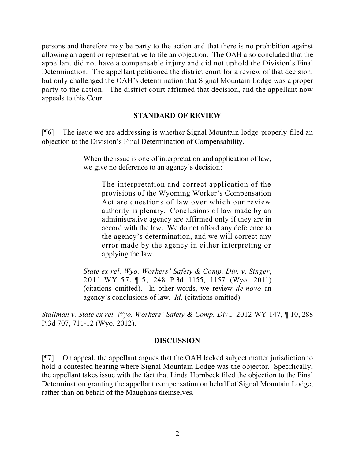persons and therefore may be party to the action and that there is no prohibition against allowing an agent or representative to file an objection. The OAH also concluded that the appellant did not have a compensable injury and did not uphold the Division's Final Determination. The appellant petitioned the district court for a review of that decision, but only challenged the OAH's determination that Signal Mountain Lodge was a proper party to the action. The district court affirmed that decision, and the appellant now appeals to this Court.

#### **STANDARD OF REVIEW**

[¶6] The issue we are addressing is whether Signal Mountain lodge properly filed an objection to the Division's Final Determination of Compensability.

> When the issue is one of interpretation and application of law, we give no deference to an agency's decision:

The interpretation and correct application of the provisions of the Wyoming Worker's Compensation Act are questions of law over which our review authority is plenary. Conclusions of law made by an administrative agency are affirmed only if they are in accord with the law. We do not afford any deference to the agency's determination, and we will correct any error made by the agency in either interpreting or applying the law.

*State ex rel. Wyo. Workers' Safety & Comp. Div. v. Singer*, 2011 WY 57, ¶ 5, 248 P.3d 1155, 1157 (Wyo. 2011) (citations omitted). In other words, we review *de novo* an agency's conclusions of law. *Id*. (citations omitted).

*Stallman v. State ex rel. Wyo. Workers' Safety & Comp. Div.*, 2012 WY 147, ¶ 10, 288 P.3d 707, 711-12 (Wyo. 2012).

### **DISCUSSION**

[¶7] On appeal, the appellant argues that the OAH lacked subject matter jurisdiction to hold a contested hearing where Signal Mountain Lodge was the objector. Specifically, the appellant takes issue with the fact that Linda Hornbeck filed the objection to the Final Determination granting the appellant compensation on behalf of Signal Mountain Lodge, rather than on behalf of the Maughans themselves.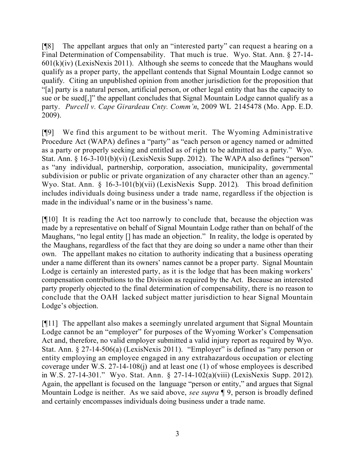[¶8] The appellant argues that only an "interested party" can request a hearing on a Final Determination of Compensability. That much is true. Wyo. Stat. Ann. § 27-14-  $601(k)(iv)$  (LexisNexis 2011). Although she seems to concede that the Maughans would qualify as a proper party, the appellant contends that Signal Mountain Lodge cannot so qualify. Citing an unpublished opinion from another jurisdiction for the proposition that "[a] party is a natural person, artificial person, or other legal entity that has the capacity to sue or be sued[,]" the appellant concludes that Signal Mountain Lodge cannot qualify as a party. *Purcell v. Cape Girardeau Cnty. Comm'n*, 2009 WL 2145478 (Mo. App. E.D. 2009).

[¶9] We find this argument to be without merit. The Wyoming Administrative Procedure Act (WAPA) defines a "party" as "each person or agency named or admitted as a party or properly seeking and entitled as of right to be admitted as a party." Wyo. Stat. Ann. § 16-3-101(b)(vi) (LexisNexis Supp. 2012). The WAPA also defines "person" as "any individual, partnership, corporation, association, municipality, governmental subdivision or public or private organization of any character other than an agency." Wyo. Stat. Ann. § 16-3-101(b)(vii) (LexisNexis Supp. 2012). This broad definition includes individuals doing business under a trade name, regardless if the objection is made in the individual's name or in the business's name.

[¶10] It is reading the Act too narrowly to conclude that, because the objection was made by a representative on behalf of Signal Mountain Lodge rather than on behalf of the Maughans, "no legal entity  $\lceil \cdot \rceil$  has made an objection." In reality, the lodge is operated by the Maughans, regardless of the fact that they are doing so under a name other than their own. The appellant makes no citation to authority indicating that a business operating under a name different than its owners' names cannot be a proper party. Signal Mountain Lodge is certainly an interested party, as it is the lodge that has been making workers' compensation contributions to the Division as required by the Act. Because an interested party properly objected to the final determination of compensability, there is no reason to conclude that the OAH lacked subject matter jurisdiction to hear Signal Mountain Lodge's objection.

[¶11] The appellant also makes a seemingly unrelated argument that Signal Mountain Lodge cannot be an "employer" for purposes of the Wyoming Worker's Compensation Act and, therefore, no valid employer submitted a valid injury report as required by Wyo. Stat. Ann. § 27-14-506(a) (LexisNexis 2011). "Employer" is defined as "any person or entity employing an employee engaged in any extrahazardous occupation or electing coverage under W.S. 27-14-108(j) and at least one (1) of whose employees is described in W.S. 27-14-301." Wyo. Stat. Ann. § 27-14-102(a)(viii) (LexisNexis Supp. 2012). Again, the appellant is focused on the language "person or entity," and argues that Signal Mountain Lodge is neither. As we said above, *see supra* ¶ 9, person is broadly defined and certainly encompasses individuals doing business under a trade name.